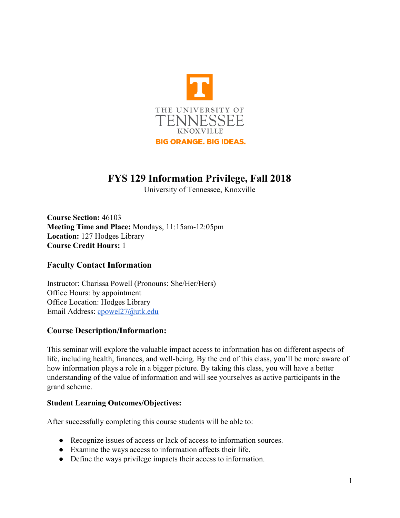

# **FYS 129 Information Privilege, Fall 2018**

University of Tennessee, Knoxville

**Course Section:** 46103 **Meeting Time and Place:** Mondays, 11:15am-12:05pm **Location:** 127 Hodges Library **Course Credit Hours:** 1

### **Faculty Contact Information**

Instructor: Charissa Powell (Pronouns: She/Her/Hers) Office Hours: by appointment Office Location: Hodges Library Email Address: [cpowel27@utk.edu](mailto:cpowel27@utk.edu)

### **Course Description/Information:**

This seminar will explore the valuable impact access to information has on different aspects of life, including health, finances, and well-being. By the end of this class, you'll be more aware of how information plays a role in a bigger picture. By taking this class, you will have a better understanding of the value of information and will see yourselves as active participants in the grand scheme.

### **Student Learning Outcomes/Objectives:**

After successfully completing this course students will be able to:

- Recognize issues of access or lack of access to information sources.
- Examine the ways access to information affects their life.
- Define the ways privilege impacts their access to information.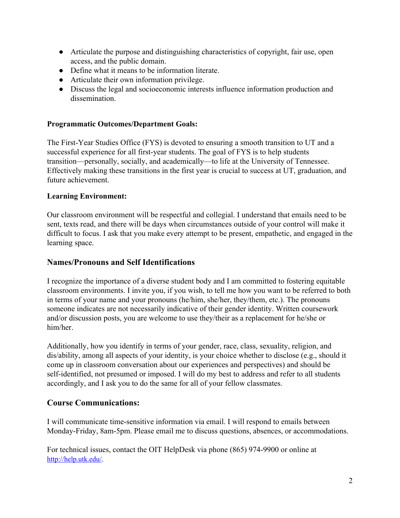- Articulate the purpose and distinguishing characteristics of copyright, fair use, open access, and the public domain.
- Define what it means to be information literate.
- Articulate their own information privilege.
- Discuss the legal and socioeconomic interests influence information production and dissemination.

### **Programmatic Outcomes/Department Goals:**

The First-Year Studies Office (FYS) is devoted to ensuring a smooth transition to UT and a successful experience for all first-year students. The goal of FYS is to help students transition—personally, socially, and academically—to life at the University of Tennessee. Effectively making these transitions in the first year is crucial to success at UT, graduation, and future achievement.

#### **Learning Environment:**

Our classroom environment will be respectful and collegial. I understand that emails need to be sent, texts read, and there will be days when circumstances outside of your control will make it difficult to focus. I ask that you make every attempt to be present, empathetic, and engaged in the learning space.

### **Names/Pronouns and Self Identifications**

I recognize the importance of a diverse student body and I am committed to fostering equitable classroom environments. I invite you, if you wish, to tell me how you want to be referred to both in terms of your name and your pronouns (he/him, she/her, they/them, etc.). The pronouns someone indicates are not necessarily indicative of their gender identity. Written coursework and/or discussion posts, you are welcome to use they/their as a replacement for he/she or him/her.

Additionally, how you identify in terms of your gender, race, class, sexuality, religion, and dis/ability, among all aspects of your identity, is your choice whether to disclose (e.g., should it come up in classroom conversation about our experiences and perspectives) and should be self-identified, not presumed or imposed. I will do my best to address and refer to all students accordingly, and I ask you to do the same for all of your fellow classmates.

### **Course Communications:**

I will communicate time-sensitive information via email. I will respond to emails between Monday-Friday, 8am-5pm. Please email me to discuss questions, absences, or accommodations.

For technical issues, contact the OIT HelpDesk via phone (865) 974-9900 or online at <http://help.utk.edu/>.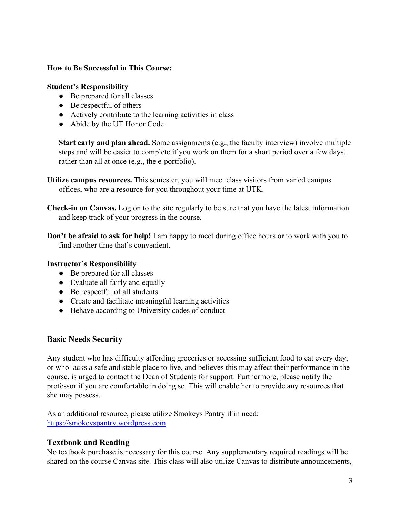### **How to Be Successful in This Course:**

#### **Student's Responsibility**

- Be prepared for all classes
- $\bullet$  Be respectful of others
- Actively contribute to the learning activities in class
- Abide by the UT Honor Code

**Start early and plan ahead.** Some assignments (e.g., the faculty interview) involve multiple steps and will be easier to complete if you work on them for a short period over a few days, rather than all at once (e.g., the e-portfolio).

- **Utilize campus resources.** This semester, you will meet class visitors from varied campus offices, who are a resource for you throughout your time at UTK.
- **Check-in on Canvas.** Log on to the site regularly to be sure that you have the latest information and keep track of your progress in the course.
- **Don't be afraid to ask for help!** I am happy to meet during office hours or to work with you to find another time that's convenient.

### **Instructor's Responsibility**

- Be prepared for all classes
- Evaluate all fairly and equally
- Be respectful of all students
- Create and facilitate meaningful learning activities
- Behave according to University codes of conduct

### **Basic Needs Security**

Any student who has difficulty affording groceries or accessing sufficient food to eat every day, or who lacks a safe and stable place to live, and believes this may affect their performance in the course, is urged to contact the Dean of Students for support. Furthermore, please notify the professor if you are comfortable in doing so. This will enable her to provide any resources that she may possess.

As an additional resource, please utilize Smokeys Pantry if in need: [https://smokeyspantry.wordpress.com](https://smokeyspantry.wordpress.com/)

### **Textbook and Reading**

No textbook purchase is necessary for this course. Any supplementary required readings will be shared on the course Canvas site. This class will also utilize Canvas to distribute announcements,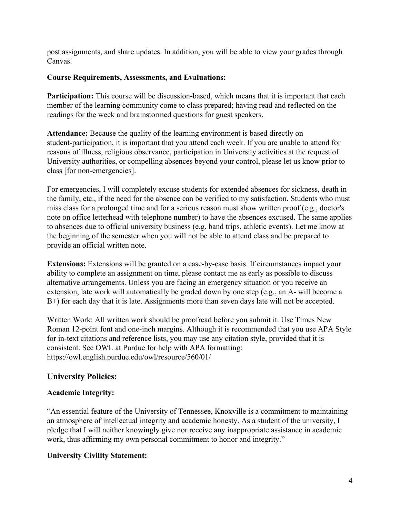post assignments, and share updates. In addition, you will be able to view your grades through Canvas.

### **Course Requirements, Assessments, and Evaluations:**

**Participation:** This course will be discussion-based, which means that it is important that each member of the learning community come to class prepared; having read and reflected on the readings for the week and brainstormed questions for guest speakers.

**Attendance:** Because the quality of the learning environment is based directly on student-participation, it is important that you attend each week. If you are unable to attend for reasons of illness, religious observance, participation in University activities at the request of University authorities, or compelling absences beyond your control, please let us know prior to class [for non-emergencies].

For emergencies, I will completely excuse students for extended absences for sickness, death in the family, etc., if the need for the absence can be verified to my satisfaction. Students who must miss class for a prolonged time and for a serious reason must show written proof (e.g., doctor's note on office letterhead with telephone number) to have the absences excused. The same applies to absences due to official university business (e.g. band trips, athletic events). Let me know at the beginning of the semester when you will not be able to attend class and be prepared to provide an official written note.

**Extensions:** Extensions will be granted on a case-by-case basis. If circumstances impact your ability to complete an assignment on time, please contact me as early as possible to discuss alternative arrangements. Unless you are facing an emergency situation or you receive an extension, late work will automatically be graded down by one step (e.g., an A- will become a B+) for each day that it is late. Assignments more than seven days late will not be accepted.

Written Work: All written work should be proofread before you submit it. Use Times New Roman 12-point font and one-inch margins. Although it is recommended that you use APA Style for in-text citations and reference lists, you may use any citation style, provided that it is consistent. See OWL at Purdue for help with APA formatting: https://owl.english.purdue.edu/owl/resource/560/01/

### **University Policies:**

### **Academic Integrity:**

"An essential feature of the University of Tennessee, Knoxville is a commitment to maintaining an atmosphere of intellectual integrity and academic honesty. As a student of the university, I pledge that I will neither knowingly give nor receive any inappropriate assistance in academic work, thus affirming my own personal commitment to honor and integrity."

### **University Civility Statement:**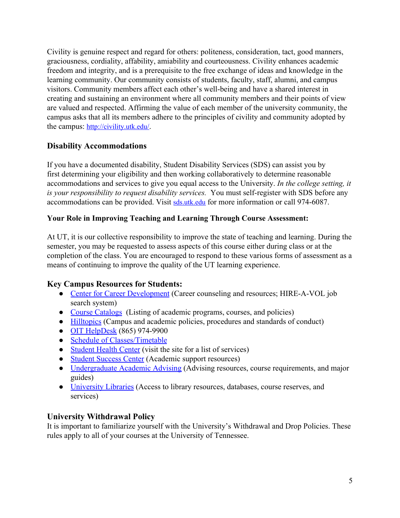Civility is genuine respect and regard for others: politeness, consideration, tact, good manners, graciousness, cordiality, affability, amiability and courteousness. Civility enhances academic freedom and integrity, and is a prerequisite to the free exchange of ideas and knowledge in the learning community. Our community consists of students, faculty, staff, alumni, and campus visitors. Community members affect each other's well-being and have a shared interest in creating and sustaining an environment where all community members and their points of view are valued and respected. Affirming the value of each member of the university community, the campus asks that all its members adhere to the principles of civility and community adopted by the campus: <http://civility.utk.edu/>.

# **Disability Accommodations**

If you have a documented disability, Student Disability Services (SDS) can assist you by first determining your eligibility and then working collaboratively to determine reasonable accommodations and services to give you equal access to the University. *In the college setting, it is your responsibility to request disability services.* You must self-register with SDS before any accommodations can be provided. Visit [sds.utk.edu](http://www.sds.utk.edu/) for more information or call 974-6087.

### **Your Role in Improving Teaching and Learning Through Course Assessment:**

At UT, it is our collective responsibility to improve the state of teaching and learning. During the semester, you may be requested to assess aspects of this course either during class or at the completion of the class. You are encouraged to respond to these various forms of assessment as a means of continuing to improve the quality of the UT learning experience.

# **Key Campus Resources for Students:**

- [Center for Career Development](http://career.utk.edu/) (Career counseling and resources; HIRE-A-VOL job search system)
- [Course Catalogs](http://catalog.utk.edu/) (Listing of academic programs, courses, and policies)
- [Hilltopics](http://hilltopics.utk.edu/) (Campus and academic policies, procedures and standards of conduct)
- [OIT HelpDesk](https://help.utk.edu/) (865) 974-9900
- [Schedule of Classes/Timetable](https://bannerssb.utk.edu/kbanpr/bwckschd.p_disp_dyn_sched)
- [Student Health Center](http://studenthealth.utk.edu/) (visit the site for a list of services)
- [Student Success Center](http://studentsuccess.utk.edu/) (Academic support resources)
- [Undergraduate Academic Advising](http://advising.utk.edu/) (Advising resources, course requirements, and major guides)
- [University Libraries](http://www.lib.utk.edu/) (Access to library resources, databases, course reserves, and services)

# **University Withdrawal Policy**

It is important to familiarize yourself with the University's Withdrawal and Drop Policies. These rules apply to all of your courses at the University of Tennessee.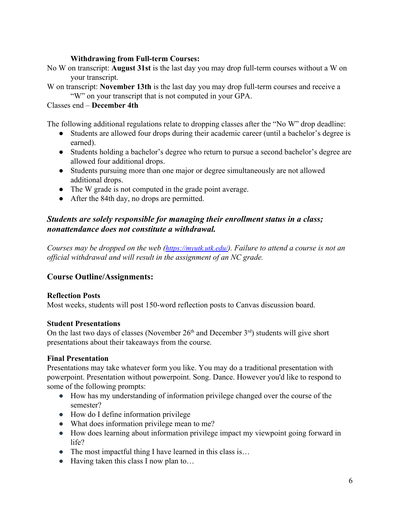### **Withdrawing from Full-term Courses:**

- No W on transcript: **August 31st** is the last day you may drop full-term courses without a W on your transcript.
- W on transcript: **November 13th** is the last day you may drop full-term courses and receive a "W" on your transcript that is not computed in your GPA.

#### Classes end – **December 4th**

The following additional regulations relate to dropping classes after the "No W" drop deadline:

- Students are allowed four drops during their academic career (until a bachelor's degree is earned).
- Students holding a bachelor's degree who return to pursue a second bachelor's degree are allowed four additional drops.
- Students pursuing more than one major or degree simultaneously are not allowed additional drops.
- The W grade is not computed in the grade point average.
- After the 84th day, no drops are permitted.

### *Students are solely responsible for managing their enrollment status in a class; nonattendance does not constitute a withdrawal.*

*Courses may be dropped on the web (<https://myutk.utk.edu/>). Failure to attend a course is not an official withdrawal and will result in the assignment of an NC grade.*

### **Course Outline/Assignments:**

#### **Reflection Posts**

Most weeks, students will post 150-word reflection posts to Canvas discussion board.

#### **Student Presentations**

On the last two days of classes (November  $26<sup>th</sup>$  and December  $3<sup>rd</sup>$ ) students will give short presentations about their takeaways from the course.

#### **Final Presentation**

Presentations may take whatever form you like. You may do a traditional presentation with powerpoint. Presentation without powerpoint. Song. Dance. However you'd like to respond to some of the following prompts:

- How has my understanding of information privilege changed over the course of the semester?
- How do I define information privilege
- What does information privilege mean to me?
- How does learning about information privilege impact my viewpoint going forward in life?
- The most impactful thing I have learned in this class is...
- Having taken this class I now plan to...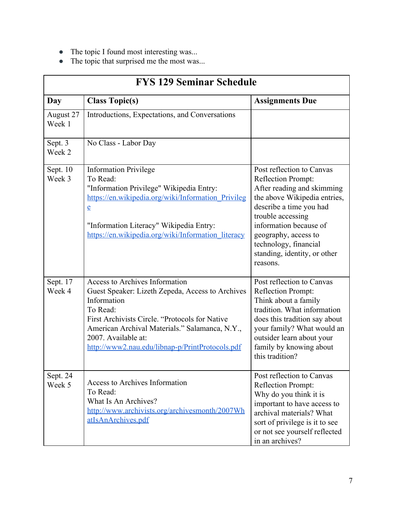- The topic I found most interesting was...
- The topic that surprised me the most was...

| <b>FYS 129 Seminar Schedule</b> |                                                                                                                                                                                                                                                                                                    |                                                                                                                                                                                                                                                                                      |  |
|---------------------------------|----------------------------------------------------------------------------------------------------------------------------------------------------------------------------------------------------------------------------------------------------------------------------------------------------|--------------------------------------------------------------------------------------------------------------------------------------------------------------------------------------------------------------------------------------------------------------------------------------|--|
| Day                             | <b>Class Topic(s)</b>                                                                                                                                                                                                                                                                              | <b>Assignments Due</b>                                                                                                                                                                                                                                                               |  |
| August 27<br>Week 1             | Introductions, Expectations, and Conversations                                                                                                                                                                                                                                                     |                                                                                                                                                                                                                                                                                      |  |
| Sept. 3<br>Week 2               | No Class - Labor Day                                                                                                                                                                                                                                                                               |                                                                                                                                                                                                                                                                                      |  |
| Sept. 10<br>Week 3              | <b>Information Privilege</b><br>To Read:<br>"Information Privilege" Wikipedia Entry:<br>https://en.wikipedia.org/wiki/Information Privileg<br>$\underline{e}$<br>"Information Literacy" Wikipedia Entry:<br>https://en.wikipedia.org/wiki/Information literacy                                     | Post reflection to Canvas<br>Reflection Prompt:<br>After reading and skimming<br>the above Wikipedia entries,<br>describe a time you had<br>trouble accessing<br>information because of<br>geography, access to<br>technology, financial<br>standing, identity, or other<br>reasons. |  |
| Sept. 17<br>Week 4              | <b>Access to Archives Information</b><br>Guest Speaker: Lizeth Zepeda, Access to Archives<br>Information<br>To Read:<br>First Archivists Circle. "Protocols for Native<br>American Archival Materials." Salamanca, N.Y.,<br>2007. Available at:<br>http://www2.nau.edu/libnap-p/PrintProtocols.pdf | Post reflection to Canvas<br>Reflection Prompt:<br>Think about a family<br>tradition. What information<br>does this tradition say about<br>your family? What would an<br>outsider learn about your<br>family by knowing about<br>this tradition?                                     |  |
| Sept. 24<br>Week 5              | <b>Access to Archives Information</b><br>To Read:<br>What Is An Archives?<br>http://www.archivists.org/archivesmonth/2007Wh<br>atIsAnArchives.pdf                                                                                                                                                  | Post reflection to Canvas<br>Reflection Prompt:<br>Why do you think it is<br>important to have access to<br>archival materials? What<br>sort of privilege is it to see<br>or not see yourself reflected<br>in an archives?                                                           |  |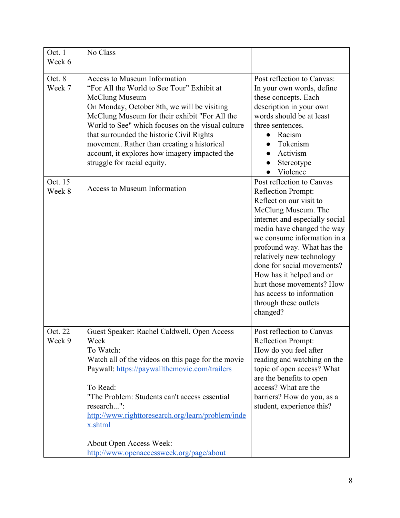| Oct. 1<br>Week 6  | No Class                                                                                                                                                                                                                                                                                                                                                                                                                             |                                                                                                                                                                                                                                                                                                                                                                                                                      |
|-------------------|--------------------------------------------------------------------------------------------------------------------------------------------------------------------------------------------------------------------------------------------------------------------------------------------------------------------------------------------------------------------------------------------------------------------------------------|----------------------------------------------------------------------------------------------------------------------------------------------------------------------------------------------------------------------------------------------------------------------------------------------------------------------------------------------------------------------------------------------------------------------|
| Oct. 8<br>Week 7  | <b>Access to Museum Information</b><br>"For All the World to See Tour" Exhibit at<br>McClung Museum<br>On Monday, October 8th, we will be visiting<br>McClung Museum for their exhibit "For All the<br>World to See" which focuses on the visual culture<br>that surrounded the historic Civil Rights<br>movement. Rather than creating a historical<br>account, it explores how imagery impacted the<br>struggle for racial equity. | Post reflection to Canvas:<br>In your own words, define<br>these concepts. Each<br>description in your own<br>words should be at least<br>three sentences.<br>Racism<br>Tokenism<br>Activism<br>Stereotype<br>Violence                                                                                                                                                                                               |
| Oct. 15<br>Week 8 | Access to Museum Information                                                                                                                                                                                                                                                                                                                                                                                                         | Post reflection to Canvas<br>Reflection Prompt:<br>Reflect on our visit to<br>McClung Museum. The<br>internet and especially social<br>media have changed the way<br>we consume information in a<br>profound way. What has the<br>relatively new technology<br>done for social movements?<br>How has it helped and or<br>hurt those movements? How<br>has access to information<br>through these outlets<br>changed? |
| Oct. 22<br>Week 9 | Guest Speaker: Rachel Caldwell, Open Access<br>Week<br>To Watch:<br>Watch all of the videos on this page for the movie<br>Paywall: https://paywallthemovie.com/trailers<br>To Read:<br>"The Problem: Students can't access essential<br>research":<br>http://www.righttoresearch.org/learn/problem/inde<br>x.shtml<br>About Open Access Week:<br>http://www.openaccessweek.org/page/about                                            | Post reflection to Canvas<br>Reflection Prompt:<br>How do you feel after<br>reading and watching on the<br>topic of open access? What<br>are the benefits to open<br>access? What are the<br>barriers? How do you, as a<br>student, experience this?                                                                                                                                                                 |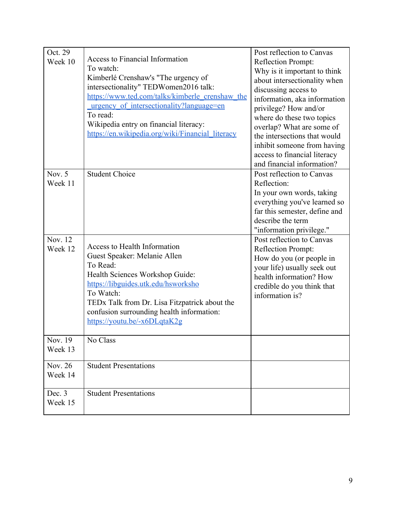| Oct. 29<br>Week 10        | Access to Financial Information<br>To watch:<br>Kimberlé Crenshaw's "The urgency of<br>intersectionality" TEDWomen2016 talk:<br>https://www.ted.com/talks/kimberle_crenshaw_the<br>urgency of intersectionality?language=en<br>To read:<br>Wikipedia entry on financial literacy:<br>https://en.wikipedia.org/wiki/Financial_literacy | Post reflection to Canvas<br>Reflection Prompt:<br>Why is it important to think<br>about intersectionality when<br>discussing access to<br>information, aka information<br>privilege? How and/or<br>where do these two topics<br>overlap? What are some of<br>the intersections that would<br>inhibit someone from having<br>access to financial literacy<br>and financial information? |
|---------------------------|---------------------------------------------------------------------------------------------------------------------------------------------------------------------------------------------------------------------------------------------------------------------------------------------------------------------------------------|-----------------------------------------------------------------------------------------------------------------------------------------------------------------------------------------------------------------------------------------------------------------------------------------------------------------------------------------------------------------------------------------|
| Nov. $5$<br>Week 11       | <b>Student Choice</b>                                                                                                                                                                                                                                                                                                                 | Post reflection to Canvas<br>Reflection:<br>In your own words, taking<br>everything you've learned so<br>far this semester, define and<br>describe the term<br>"information privilege."                                                                                                                                                                                                 |
| Nov. 12<br>Week 12        | Access to Health Information<br>Guest Speaker: Melanie Allen<br>To Read:<br>Health Sciences Workshop Guide:<br>https://libguides.utk.edu/hsworksho<br>To Watch:<br>TEDx Talk from Dr. Lisa Fitzpatrick about the<br>confusion surrounding health information:<br>https://youtu.be/-x6DLqtaK2g                                         | Post reflection to Canvas<br>Reflection Prompt:<br>How do you (or people in<br>your life) usually seek out<br>health information? How<br>credible do you think that<br>information is?                                                                                                                                                                                                  |
| Nov. 19<br>Week 13        | No Class                                                                                                                                                                                                                                                                                                                              |                                                                                                                                                                                                                                                                                                                                                                                         |
| <b>Nov. 26</b><br>Week 14 | <b>Student Presentations</b>                                                                                                                                                                                                                                                                                                          |                                                                                                                                                                                                                                                                                                                                                                                         |
| Dec. 3<br>Week 15         | <b>Student Presentations</b>                                                                                                                                                                                                                                                                                                          |                                                                                                                                                                                                                                                                                                                                                                                         |